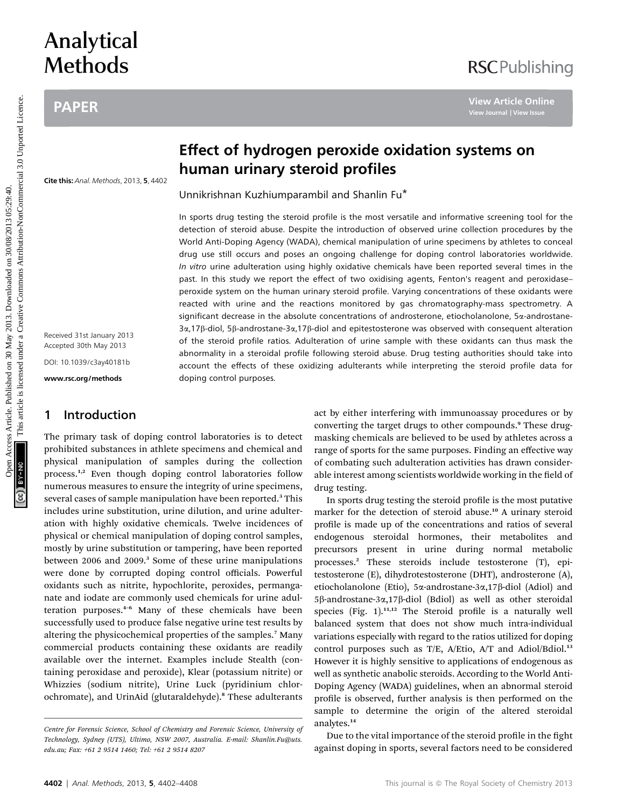# Analytical **Methods**

## PAPER

## **RSCPublishing**

Cite this: Anal. Methods, 2013, 5, 4402

Received 31st January 2013 Accepted 30th May 2013 DOI: 10.1039/c3ay40181b

www.rsc.org/methods

### 1 Introduction

The primary task of doping control laboratories is to detect prohibited substances in athlete specimens and chemical and physical manipulation of samples during the collection process.<sup>1,2</sup> Even though doping control laboratories follow numerous measures to ensure the integrity of urine specimens, several cases of sample manipulation have been reported.<sup>3</sup> This includes urine substitution, urine dilution, and urine adulteration with highly oxidative chemicals. Twelve incidences of physical or chemical manipulation of doping control samples, mostly by urine substitution or tampering, have been reported between 2006 and 2009.<sup>3</sup> Some of these urine manipulations were done by corrupted doping control officials. Powerful oxidants such as nitrite, hypochlorite, peroxides, permanganate and iodate are commonly used chemicals for urine adulteration purposes.<sup>4</sup>–<sup>6</sup> Many of these chemicals have been successfully used to produce false negative urine test results by altering the physicochemical properties of the samples.<sup>7</sup> Many commercial products containing these oxidants are readily available over the internet. Examples include Stealth (containing peroxidase and peroxide), Klear (potassium nitrite) or Whizzies (sodium nitrite), Urine Luck (pyridinium chlorochromate), and UrinAid (glutaraldehyde).<sup>8</sup> These adulterants

## Effect of hydrogen peroxide oxidation systems on human urinary steroid profiles

Unnikrishnan Kuzhiumparambil and Shanlin Fu\*

In sports drug testing the steroid profile is the most versatile and informative screening tool for the detection of steroid abuse. Despite the introduction of observed urine collection procedures by the World Anti-Doping Agency (WADA), chemical manipulation of urine specimens by athletes to conceal drug use still occurs and poses an ongoing challenge for doping control laboratories worldwide. In vitro urine adulteration using highly oxidative chemicals have been reported several times in the past. In this study we report the effect of two oxidising agents, Fenton's reagent and peroxidase– peroxide system on the human urinary steroid profile. Varying concentrations of these oxidants were reacted with urine and the reactions monitored by gas chromatography-mass spectrometry. A significant decrease in the absolute concentrations of androsterone, etiocholanolone, 5x-androstane-3a,17b-diol, 5b-androstane-3a,17b-diol and epitestosterone was observed with consequent alteration of the steroid profile ratios. Adulteration of urine sample with these oxidants can thus mask the abnormality in a steroidal profile following steroid abuse. Drug testing authorities should take into account the effects of these oxidizing adulterants while interpreting the steroid profile data for doping control purposes. PAPER<br>
Frect of hydrogen peroxide oxidation systems on<br>
Effect of hydrogen peroxide oxidation systems on<br>
Effect of hydrogen peroxide oxidation systems on<br>
Unnikrishnan Kuzhiumparambil and Shanlin Fu<sup>1</sup><br>
In the state of t

act by either interfering with immunoassay procedures or by converting the target drugs to other compounds.<sup>9</sup> These drugmasking chemicals are believed to be used by athletes across a range of sports for the same purposes. Finding an effective way of combating such adulteration activities has drawn considerable interest among scientists worldwide working in the field of drug testing.

In sports drug testing the steroid profile is the most putative marker for the detection of steroid abuse.<sup>10</sup> A urinary steroid profile is made up of the concentrations and ratios of several endogenous steroidal hormones, their metabolites and precursors present in urine during normal metabolic processes.<sup>2</sup> These steroids include testosterone (T), epitestosterone (E), dihydrotestosterone (DHT), androsterone (A), etiocholanolone (Etio), 5a-androstane-3a,17b-diol (Adiol) and 5b-androstane-3a,17b-diol (Bdiol) as well as other steroidal species (Fig.  $1$ ).<sup>11,12</sup> The Steroid profile is a naturally well balanced system that does not show much intra-individual variations especially with regard to the ratios utilized for doping control purposes such as  $T/E$ , A/Etio, A/T and Adiol/Bdiol.<sup>13</sup> However it is highly sensitive to applications of endogenous as well as synthetic anabolic steroids. According to the World Anti-Doping Agency (WADA) guidelines, when an abnormal steroid profile is observed, further analysis is then performed on the sample to determine the origin of the altered steroidal analytes.<sup>14</sup>

Due to the vital importance of the steroid profile in the fight against doping in sports, several factors need to be considered

Centre for Forensic Science, School of Chemistry and Forensic Science, University of Technology, Sydney (UTS), Ultimo, NSW 2007, Australia. E-mail: Shanlin.Fu@uts. edu.au; Fax: +61 2 9514 1460; Tel: +61 2 9514 8207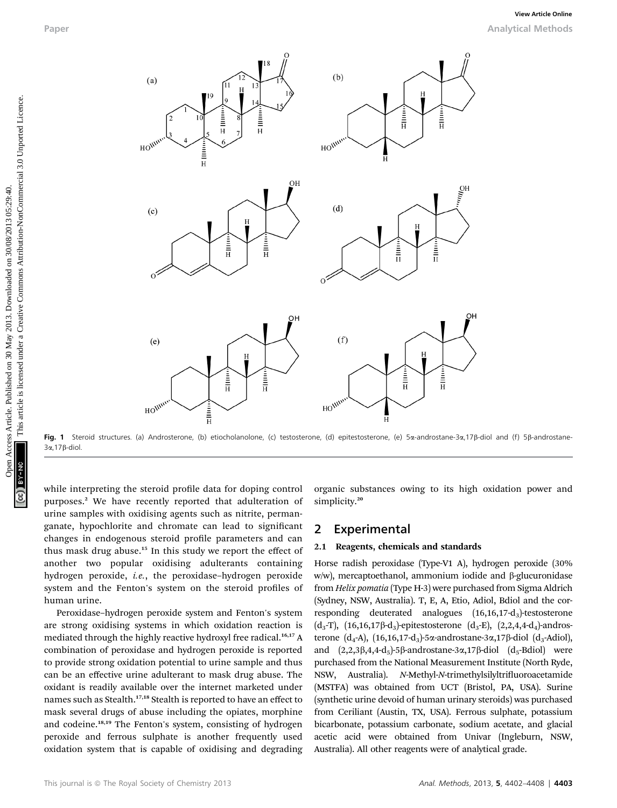

Fig. 1 Steroid structures. (a) Androsterone, (b) etiocholanolone, (c) testosterone, (d) epitestosterone, (e) 5a-androstane-3a,17ß-diol and (f) 5ß-androstane-3a,17b-diol.

while interpreting the steroid profile data for doping control purposes.<sup>2</sup> We have recently reported that adulteration of urine samples with oxidising agents such as nitrite, permanganate, hypochlorite and chromate can lead to signicant changes in endogenous steroid profile parameters and can thus mask drug abuse.<sup>15</sup> In this study we report the effect of another two popular oxidising adulterants containing hydrogen peroxide, i.e., the peroxidase–hydrogen peroxide system and the Fenton's system on the steroid profiles of human urine.

Peroxidase–hydrogen peroxide system and Fenton's system are strong oxidising systems in which oxidation reaction is mediated through the highly reactive hydroxyl free radical.<sup>16,17</sup> A combination of peroxidase and hydrogen peroxide is reported to provide strong oxidation potential to urine sample and thus can be an effective urine adulterant to mask drug abuse. The oxidant is readily available over the internet marketed under names such as Stealth.<sup>17,18</sup> Stealth is reported to have an effect to mask several drugs of abuse including the opiates, morphine and codeine.<sup>18,19</sup> The Fenton's system, consisting of hydrogen peroxide and ferrous sulphate is another frequently used oxidation system that is capable of oxidising and degrading

organic substances owing to its high oxidation power and simplicity.<sup>20</sup>

#### 2 Experimental

#### 2.1 Reagents, chemicals and standards

Horse radish peroxidase (Type-V1 A), hydrogen peroxide (30% w/w), mercaptoethanol, ammonium iodide and  $\beta$ -glucuronidase from Helix pomatia (Type H-3) were purchased from Sigma Aldrich (Sydney, NSW, Australia). T, E, A, Etio, Adiol, Bdiol and the corresponding deuterated analogues (16,16,17-d<sub>3</sub>)-testosterone  $(d_3-T)$ ,  $(16,16,17\beta-d_3)$ -epitestosterone  $(d_3-E)$ ,  $(2,2,4,4-d_4)$ -androsterone  $(d_4-A)$ ,  $(16,16,17-d_3)$ -5 $\alpha$ -androstane-3 $\alpha$ ,17 $\beta$ -diol  $(d_3-Adiol)$ , and  $(2,2,3\beta,4,4-d_5)$ -5 $\beta$ -androstane-3 $\alpha$ ,17 $\beta$ -diol  $(d_5$ -Bdiol) were purchased from the National Measurement Institute (North Ryde, NSW, Australia). N-Methyl-N-trimethylsilyltrifluoroacetamide (MSTFA) was obtained from UCT (Bristol, PA, USA). Surine (synthetic urine devoid of human urinary steroids) was purchased from Ceriliant (Austin, TX, USA). Ferrous sulphate, potassium bicarbonate, potassium carbonate, sodium acetate, and glacial acetic acid were obtained from Univar (Ingleburn, NSW, Australia). All other reagents were of analytical grade.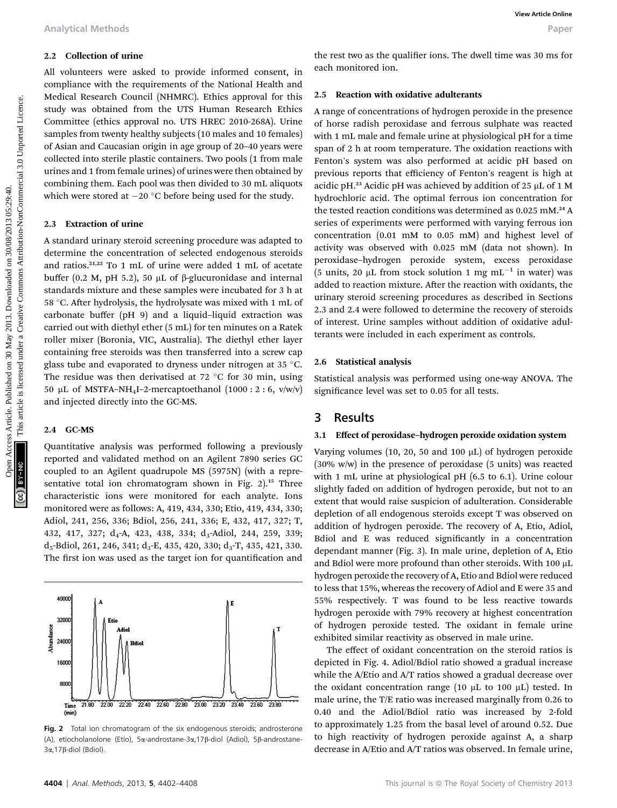#### 2.2 Collection of urine

All volunteers were asked to provide informed consent, in compliance with the requirements of the National Health and Medical Research Council (NHMRC). Ethics approval for this study was obtained from the UTS Human Research Ethics Committee (ethics approval no. UTS HREC 2010-268A). Urine samples from twenty healthy subjects (10 males and 10 females) of Asian and Caucasian origin in age group of 20–40 years were collected into sterile plastic containers. Two pools (1 from male urines and 1 from female urines) of urines were then obtained by combining them. Each pool was then divided to 30 mL aliquots which were stored at  $-20$  °C before being used for the study.

#### 2.3 Extraction of urine

A standard urinary steroid screening procedure was adapted to determine the concentration of selected endogenous steroids and ratios.21,22 To 1 mL of urine were added 1 mL of acetate buffer (0.2 M, pH 5.2), 50  $\mu$ L of  $\beta$ -glucuronidase and internal standards mixture and these samples were incubated for 3 h at 58 °C. After hydrolysis, the hydrolysate was mixed with 1 mL of carbonate buffer (pH 9) and a liquid–liquid extraction was carried out with diethyl ether (5 mL) for ten minutes on a Ratek roller mixer (Boronia, VIC, Australia). The diethyl ether layer containing free steroids was then transferred into a screw cap glass tube and evaporated to dryness under nitrogen at 35  $\degree$ C. The residue was then derivatised at  $72 °C$  for 30 min, using 50 µL of MSTFA-NH<sub>4</sub>I-2-mercaptoethanol  $(1000:2:6, v/w/v)$ and injected directly into the GC-MS.

#### 2.4 GC-MS

Quantitative analysis was performed following a previously reported and validated method on an Agilent 7890 series GC coupled to an Agilent quadrupole MS (5975N) (with a representative total ion chromatogram shown in Fig.  $2$ ).<sup>15</sup> Three characteristic ions were monitored for each analyte. Ions monitored were as follows: A, 419, 434, 330; Etio, 419, 434, 330; Adiol, 241, 256, 336; Bdiol, 256, 241, 336; E, 432, 417, 327; T, 432, 417, 327; d<sub>4</sub>-A, 423, 438, 334; d<sub>3</sub>-Adiol, 244, 259, 339;  $d_5$ -Bdiol, 261, 246, 341;  $d_3$ -E, 435, 420, 330;  $d_3$ -T, 435, 421, 330. The first ion was used as the target ion for quantification and



Fig. 2 Total ion chromatogram of the six endogenous steroids; androsterone (A), etiocholanolone (Etio), 5a-androstane-3a,17b-diol (Adiol), 5b-androstane-3α,17β-diol (Bdiol)

the rest two as the qualifier ions. The dwell time was 30 ms for each monitored ion.

#### 2.5 Reaction with oxidative adulterants

A range of concentrations of hydrogen peroxide in the presence of horse radish peroxidase and ferrous sulphate was reacted with 1 mL male and female urine at physiological pH for a time span of 2 h at room temperature. The oxidation reactions with Fenton's system was also performed at acidic pH based on previous reports that efficiency of Fenton's reagent is high at acidic pH.<sup>23</sup> Acidic pH was achieved by addition of 25  $\mu$ L of 1 M hydrochloric acid. The optimal ferrous ion concentration for the tested reaction conditions was determined as 0.025 mM.<sup>24</sup> A series of experiments were performed with varying ferrous ion concentration (0.01 mM to 0.05 mM) and highest level of activity was observed with 0.025 mM (data not shown). In peroxidase–hydrogen peroxide system, excess peroxidase (5 units, 20  $\mu$ L from stock solution 1 mg mL<sup>-1</sup> in water) was added to reaction mixture. After the reaction with oxidants, the urinary steroid screening procedures as described in Sections 2.3 and 2.4 were followed to determine the recovery of steroids of interest. Urine samples without addition of oxidative adulterants were included in each experiment as controls. Analytical Methods<br>
2.3 **Collection of universed on 30** May 2013. The cost of the National Health and<br>
4.1 voluments of the National Health and<br>
2.9 **May 2013. Downloaded the CREAT SC are the CREAT SC are the CREAT SC are** 

#### 2.6 Statistical analysis

Statistical analysis was performed using one-way ANOVA. The significance level was set to 0.05 for all tests.

## 3 Results

#### 3.1 Effect of peroxidase–hydrogen peroxide oxidation system

Varying volumes  $(10, 20, 50, 400, \mu L)$  of hydrogen peroxide (30% w/w) in the presence of peroxidase (5 units) was reacted with 1 mL urine at physiological pH (6.5 to 6.1). Urine colour slightly faded on addition of hydrogen peroxide, but not to an extent that would raise suspicion of adulteration. Considerable depletion of all endogenous steroids except T was observed on addition of hydrogen peroxide. The recovery of A, Etio, Adiol, Bdiol and E was reduced significantly in a concentration dependant manner (Fig. 3). In male urine, depletion of A, Etio and Bdiol were more profound than other steroids. With 100  $\mu$ L hydrogen peroxide the recovery of A, Etio and Bdiol were reduced to less that 15%, whereas the recovery of Adiol and E were 35 and 55% respectively. T was found to be less reactive towards hydrogen peroxide with 79% recovery at highest concentration of hydrogen peroxide tested. The oxidant in female urine exhibited similar reactivity as observed in male urine.

The effect of oxidant concentration on the steroid ratios is depicted in Fig. 4. Adiol/Bdiol ratio showed a gradual increase while the A/Etio and A/T ratios showed a gradual decrease over the oxidant concentration range (10  $\mu$ L to 100  $\mu$ L) tested. In male urine, the T/E ratio was increased marginally from 0.26 to 0.40 and the Adiol/Bdiol ratio was increased by 2-fold to approximately 1.25 from the basal level of around 0.52. Due to high reactivity of hydrogen peroxide against A, a sharp decrease in A/Etio and A/T ratios was observed. In female urine,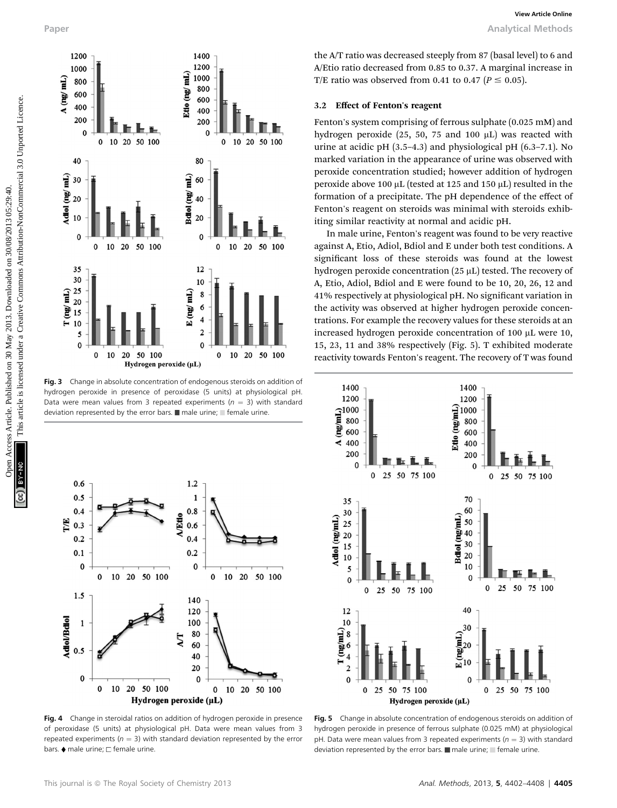

Fig. 3 Change in absolute concentration of endogenous steroids on addition of hydrogen peroxide in presence of peroxidase (5 units) at physiological pH. Data were mean values from 3 repeated experiments ( $n = 3$ ) with standard deviation represented by the error bars.  $\blacksquare$  male urine;  $\blacksquare$  female urine.



Fig. 4 Change in steroidal ratios on addition of hydrogen peroxide in presence of peroxidase (5 units) at physiological pH. Data were mean values from 3 repeated experiments ( $n = 3$ ) with standard deviation represented by the error bars.  $\blacklozenge$  male urine;  $\square$  female urine.

the A/T ratio was decreased steeply from 87 (basal level) to 6 and A/Etio ratio decreased from 0.85 to 0.37. A marginal increase in T/E ratio was observed from 0.41 to 0.47 ( $P \le 0.05$ ).

#### 3.2 Effect of Fenton's reagent

Fenton's system comprising of ferrous sulphate (0.025 mM) and hydrogen peroxide  $(25, 50, 75, 40, 100, \mu L)$  was reacted with urine at acidic pH (3.5–4.3) and physiological pH (6.3–7.1). No marked variation in the appearance of urine was observed with peroxide concentration studied; however addition of hydrogen peroxide above 100  $\mu$ L (tested at 125 and 150  $\mu$ L) resulted in the formation of a precipitate. The pH dependence of the effect of Fenton's reagent on steroids was minimal with steroids exhibiting similar reactivity at normal and acidic pH.

In male urine, Fenton's reagent was found to be very reactive against A, Etio, Adiol, Bdiol and E under both test conditions. A significant loss of these steroids was found at the lowest hydrogen peroxide concentration (25 µL) tested. The recovery of A, Etio, Adiol, Bdiol and E were found to be 10, 20, 26, 12 and 41% respectively at physiological pH. No signicant variation in the activity was observed at higher hydrogen peroxide concentrations. For example the recovery values for these steroids at an increased hydrogen peroxide concentration of 100 µL were 10, 15, 23, 11 and 38% respectively (Fig. 5). T exhibited moderate reactivity towards Fenton's reagent. The recovery of T was found



Fig. 5 Change in absolute concentration of endogenous steroids on addition of hydrogen peroxide in presence of ferrous sulphate (0.025 mM) at physiologica pH. Data were mean values from 3 repeated experiments ( $n = 3$ ) with standard deviation represented by the error bars.  $\blacksquare$  male urine;  $\blacksquare$  female urine.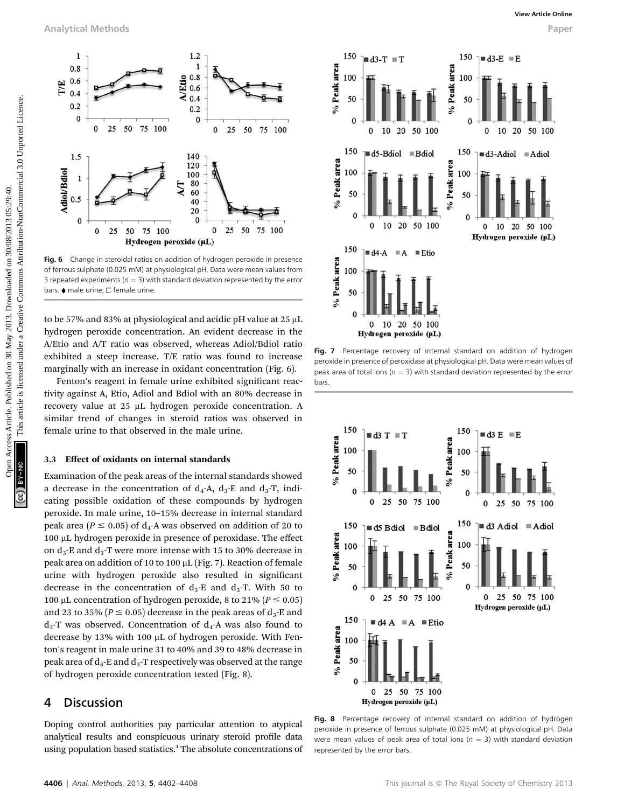

Fig. 6 Change in steroidal ratios on addition of hydrogen peroxide in presence of ferrous sulphate (0.025 mM) at physiological pH. Data were mean values from 3 repeated experiments ( $n = 3$ ) with standard deviation represented by the error bars.  $\blacklozenge$  male urine;  $\square$  female urine.

to be 57% and 83% at physiological and acidic pH value at  $25 \mu L$ hydrogen peroxide concentration. An evident decrease in the A/Etio and A/T ratio was observed, whereas Adiol/Bdiol ratio exhibited a steep increase. T/E ratio was found to increase marginally with an increase in oxidant concentration (Fig. 6).

Fenton's reagent in female urine exhibited significant reactivity against A, Etio, Adiol and Bdiol with an 80% decrease in recovery value at 25 µL hydrogen peroxide concentration. A similar trend of changes in steroid ratios was observed in female urine to that observed in the male urine.

#### 3.3 Effect of oxidants on internal standards

Examination of the peak areas of the internal standards showed a decrease in the concentration of  $d_4$ -A,  $d_3$ -E and  $d_3$ -T, indicating possible oxidation of these compounds by hydrogen peroxide. In male urine, 10–15% decrease in internal standard peak area ( $P \le 0.05$ ) of d<sub>4</sub>-A was observed on addition of 20 to 100 mL hydrogen peroxide in presence of peroxidase. The effect on  $d_3$ -E and  $d_3$ -T were more intense with 15 to 30% decrease in peak area on addition of 10 to 100 mL (Fig. 7). Reaction of female urine with hydrogen peroxide also resulted in signicant decrease in the concentration of  $d_3$ -E and  $d_3$ -T. With 50 to 100 µL concentration of hydrogen peroxide, 8 to 21% ( $P \le 0.05$ ) and 23 to 35% ( $P \le 0.05$ ) decrease in the peak areas of  $d_3$ -E and  $d_3$ -T was observed. Concentration of  $d_4$ -A was also found to decrease by 13% with 100  $\mu$ L of hydrogen peroxide. With Fenton's reagent in male urine 31 to 40% and 39 to 48% decrease in peak area of  $d_3$ -E and  $d_3$ -T respectively was observed at the range of hydrogen peroxide concentration tested (Fig. 8).

#### 4 Discussion

Doping control authorities pay particular attention to atypical analytical results and conspicuous urinary steroid profile data using population based statistics.<sup>3</sup> The absolute concentrations of







Fig. 8 Percentage recovery of internal standard on addition of hydrogen peroxide in presence of ferrous sulphate (0.025 mM) at physiological pH. Data were mean values of peak area of total ions ( $n = 3$ ) with standard deviation represented by the error bars.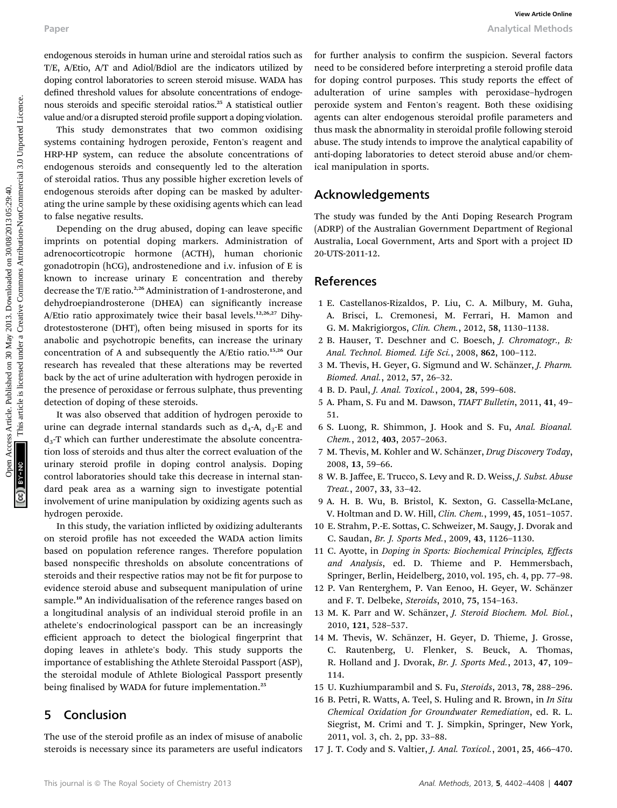endogenous steroids in human urine and steroidal ratios such as T/E, A/Etio, A/T and Adiol/Bdiol are the indicators utilized by doping control laboratories to screen steroid misuse. WADA has defined threshold values for absolute concentrations of endogenous steroids and specific steroidal ratios.<sup>25</sup> A statistical outlier value and/or a disrupted steroid profile support a doping violation.

This study demonstrates that two common oxidising systems containing hydrogen peroxide, Fenton's reagent and HRP-HP system, can reduce the absolute concentrations of endogenous steroids and consequently led to the alteration of steroidal ratios. Thus any possible higher excretion levels of endogenous steroids after doping can be masked by adulterating the urine sample by these oxidising agents which can lead to false negative results.

Depending on the drug abused, doping can leave specific imprints on potential doping markers. Administration of adrenocorticotropic hormone (ACTH), human chorionic gonadotropin (hCG), androstenedione and i.v. infusion of E is known to increase urinary E concentration and thereby decrease the T/E ratio.<sup>2,26</sup> Administration of 1-androsterone, and dehydroepiandrosterone (DHEA) can significantly increase A/Etio ratio approximately twice their basal levels.<sup>12,26,27</sup> Dihydrotestosterone (DHT), often being misused in sports for its anabolic and psychotropic benefits, can increase the urinary concentration of A and subsequently the A/Etio ratio.15,26 Our research has revealed that these alterations may be reverted back by the act of urine adulteration with hydrogen peroxide in the presence of peroxidase or ferrous sulphate, thus preventing detection of doping of these steroids. Paper **Access Article is the mail of the set of the set of the common access Article is the set of the set of the set of the common access Article is likely a common access are common access are control and specific intere** 

It was also observed that addition of hydrogen peroxide to urine can degrade internal standards such as  $d_4$ -A,  $d_3$ -E and  $d_3$ -T which can further underestimate the absolute concentration loss of steroids and thus alter the correct evaluation of the urinary steroid profile in doping control analysis. Doping control laboratories should take this decrease in internal standard peak area as a warning sign to investigate potential involvement of urine manipulation by oxidizing agents such as hydrogen peroxide.

In this study, the variation inflicted by oxidizing adulterants on steroid profile has not exceeded the WADA action limits based on population reference ranges. Therefore population based nonspecific thresholds on absolute concentrations of steroids and their respective ratios may not be fit for purpose to evidence steroid abuse and subsequent manipulation of urine sample.<sup>10</sup> An individualisation of the reference ranges based on a longitudinal analysis of an individual steroid profile in an athelete's endocrinological passport can be an increasingly efficient approach to detect the biological fingerprint that doping leaves in athlete's body. This study supports the importance of establishing the Athlete Steroidal Passport (ASP), the steroidal module of Athlete Biological Passport presently being finalised by WADA for future implementation.<sup>25</sup>

#### 5 Conclusion

The use of the steroid profile as an index of misuse of anabolic steroids is necessary since its parameters are useful indicators for further analysis to confirm the suspicion. Several factors need to be considered before interpreting a steroid profile data for doping control purposes. This study reports the effect of adulteration of urine samples with peroxidase–hydrogen peroxide system and Fenton's reagent. Both these oxidising agents can alter endogenous steroidal profile parameters and thus mask the abnormality in steroidal profile following steroid abuse. The study intends to improve the analytical capability of anti-doping laboratories to detect steroid abuse and/or chemical manipulation in sports.

#### Acknowledgements

The study was funded by the Anti Doping Research Program (ADRP) of the Australian Government Department of Regional Australia, Local Government, Arts and Sport with a project ID 20-UTS-2011-12.

#### References

- 1 E. Castellanos-Rizaldos, P. Liu, C. A. Milbury, M. Guha, A. Brisci, L. Cremonesi, M. Ferrari, H. Mamon and G. M. Makrigiorgos, Clin. Chem., 2012, 58, 1130–1138.
- 2 B. Hauser, T. Deschner and C. Boesch, J. Chromatogr., B: Anal. Technol. Biomed. Life Sci., 2008, 862, 100–112.
- 3 M. Thevis, H. Geyer, G. Sigmund and W. Schänzer, J. Pharm. Biomed. Anal., 2012, 57, 26–32.
- 4 B. D. Paul, J. Anal. Toxicol., 2004, 28, 599–608.
- 5 A. Pham, S. Fu and M. Dawson, TIAFT Bulletin, 2011, 41, 49– 51.
- 6 S. Luong, R. Shimmon, J. Hook and S. Fu, Anal. Bioanal. Chem., 2012, 403, 2057–2063.
- 7 M. Thevis, M. Kohler and W. Schänzer, Drug Discovery Today, 2008, 13, 59–66.
- 8 W. B. Jaffee, E. Trucco, S. Levy and R. D. Weiss, J. Subst. Abuse Treat., 2007, 33, 33–42.
- 9 A. H. B. Wu, B. Bristol, K. Sexton, G. Cassella-McLane, V. Holtman and D. W. Hill, Clin. Chem., 1999, 45, 1051–1057.
- 10 E. Strahm, P.-E. Sottas, C. Schweizer, M. Saugy, J. Dvorak and C. Saudan, Br. J. Sports Med., 2009, 43, 1126–1130.
- 11 C. Ayotte, in Doping in Sports: Biochemical Principles, Effects and Analysis, ed. D. Thieme and P. Hemmersbach, Springer, Berlin, Heidelberg, 2010, vol. 195, ch. 4, pp. 77–98.
- 12 P. Van Renterghem, P. Van Eenoo, H. Geyer, W. Schänzer and F. T. Delbeke, Steroids, 2010, 75, 154–163.
- 13 M. K. Parr and W. Schänzer, J. Steroid Biochem. Mol. Biol., 2010, 121, 528–537.
- 14 M. Thevis, W. Schänzer, H. Geyer, D. Thieme, J. Grosse, C. Rautenberg, U. Flenker, S. Beuck, A. Thomas, R. Holland and J. Dvorak, Br. J. Sports Med., 2013, 47, 109– 114.
- 15 U. Kuzhiumparambil and S. Fu, Steroids, 2013, 78, 288–296.
- 16 B. Petri, R. Watts, A. Teel, S. Huling and R. Brown, in *In Situ* Chemical Oxidation for Groundwater Remediation, ed. R. L. Siegrist, M. Crimi and T. J. Simpkin, Springer, New York, 2011, vol. 3, ch. 2, pp. 33–88.
- 17 J. T. Cody and S. Valtier, J. Anal. Toxicol., 2001, 25, 466–470.